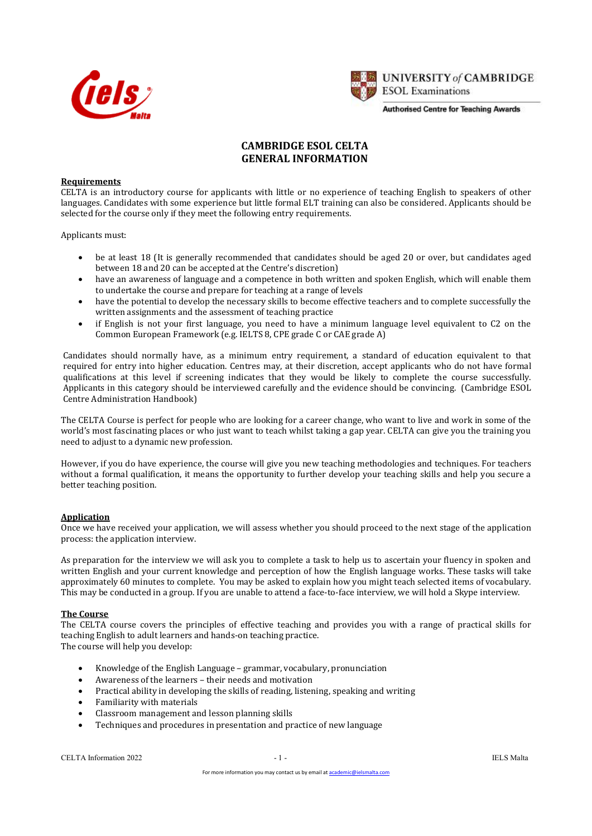



# CAMBRIDGE ESOL CELTA GENERAL INFORMATION

### **Requirements**

CELTA is an introductory course for applicants with little or no experience of teaching English to speakers of other languages. Candidates with some experience but little formal ELT training can also be considered. Applicants should be selected for the course only if they meet the following entry requirements.

Applicants must:

- be at least 18 (It is generally recommended that candidates should be aged 20 or over, but candidates aged between 18 and 20 can be accepted at the Centre's discretion)
- have an awareness of language and a competence in both written and spoken English, which will enable them to undertake the course and prepare for teaching at a range of levels
- have the potential to develop the necessary skills to become effective teachers and to complete successfully the written assignments and the assessment of teaching practice
- if English is not your first language, you need to have a minimum language level equivalent to C2 on the Common European Framework (e.g. IELTS 8, CPE grade C or CAE grade A)

Candidates should normally have, as a minimum entry requirement, a standard of education equivalent to that required for entry into higher education. Centres may, at their discretion, accept applicants who do not have formal qualifications at this level if screening indicates that they would be likely to complete the course successfully. Applicants in this category should be interviewed carefully and the evidence should be convincing. (Cambridge ESOL Centre Administration Handbook)

The CELTA Course is perfect for people who are looking for a career change, who want to live and work in some of the world's most fascinating places or who just want to teach whilst taking a gap year. CELTA can give you the training you need to adjust to a dynamic new profession.

However, if you do have experience, the course will give you new teaching methodologies and techniques. For teachers without a formal qualification, it means the opportunity to further develop your teaching skills and help you secure a better teaching position.

### Application

Once we have received your application, we will assess whether you should proceed to the next stage of the application process: the application interview.

As preparation for the interview we will ask you to complete a task to help us to ascertain your fluency in spoken and written English and your current knowledge and perception of how the English language works. These tasks will take approximately 60 minutes to complete. You may be asked to explain how you might teach selected items of vocabulary. This may be conducted in a group. If you are unable to attend a face-to-face interview, we will hold a Skype interview.

### The Course

The CELTA course covers the principles of effective teaching and provides you with a range of practical skills for teaching English to adult learners and hands-on teaching practice. The course will help you develop:

- Knowledge of the English Language grammar, vocabulary, pronunciation
- Awareness of the learners their needs and motivation
- Practical ability in developing the skills of reading, listening, speaking and writing
- Familiarity with materials
- Classroom management and lesson planning skills
- Techniques and procedures in presentation and practice of new language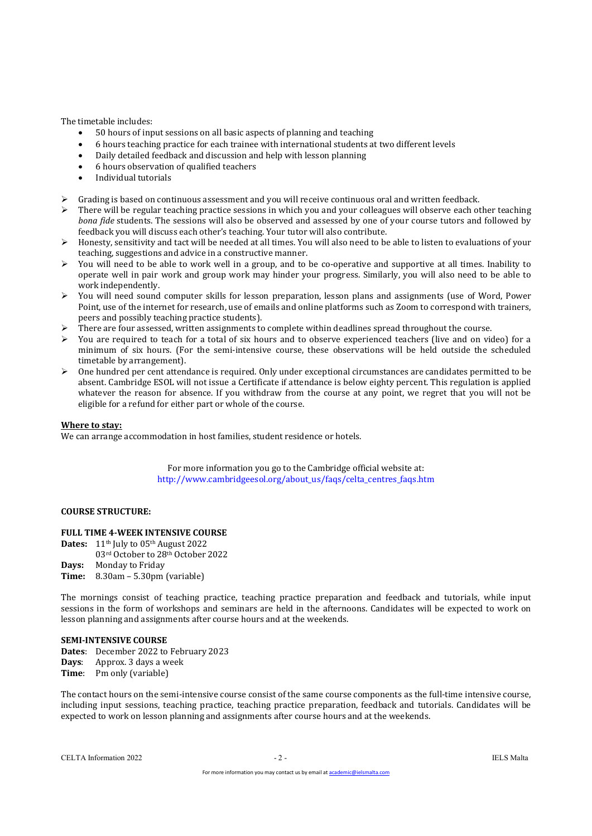The timetable includes:

- 50 hours of input sessions on all basic aspects of planning and teaching
- 6 hours teaching practice for each trainee with international students at two different levels
- Daily detailed feedback and discussion and help with lesson planning
- 6 hours observation of qualified teachers
- Individual tutorials
- Grading is based on continuous assessment and you will receive continuous oral and written feedback.
- There will be regular teaching practice sessions in which you and your colleagues will observe each other teaching bona fide students. The sessions will also be observed and assessed by one of your course tutors and followed by feedback you will discuss each other's teaching. Your tutor will also contribute.
- Honesty, sensitivity and tact will be needed at all times. You will also need to be able to listen to evaluations of your teaching, suggestions and advice in a constructive manner.
- You will need to be able to work well in a group, and to be co-operative and supportive at all times. Inability to operate well in pair work and group work may hinder your progress. Similarly, you will also need to be able to work independently.
- You will need sound computer skills for lesson preparation, lesson plans and assignments (use of Word, Power Point, use of the internet for research, use of emails and online platforms such as Zoom to correspond with trainers, peers and possibly teaching practice students).
- There are four assessed, written assignments to complete within deadlines spread throughout the course.
- You are required to teach for a total of six hours and to observe experienced teachers (live and on video) for a minimum of six hours. (For the semi-intensive course, these observations will be held outside the scheduled timetable by arrangement).
- One hundred per cent attendance is required. Only under exceptional circumstances are candidates permitted to be absent. Cambridge ESOL will not issue a Certificate if attendance is below eighty percent. This regulation is applied whatever the reason for absence. If you withdraw from the course at any point, we regret that you will not be eligible for a refund for either part or whole of the course.

### Where to stay:

We can arrange accommodation in host families, student residence or hotels.

For more information you go to the Cambridge official website at: http://www.cambridgeesol.org/about\_us/faqs/celta\_centres\_faqs.htm

### COURSE STRUCTURE:

### FULL TIME 4-WEEK INTENSIVE COURSE

- Dates: 11<sup>th</sup> July to 05<sup>th</sup> August 2022 03rd October to 28th October 2022
- Days: Monday to Friday
- Time: 8.30am 5.30pm (variable)

The mornings consist of teaching practice, teaching practice preparation and feedback and tutorials, while input sessions in the form of workshops and seminars are held in the afternoons. Candidates will be expected to work on lesson planning and assignments after course hours and at the weekends.

#### SEMI-INTENSIVE COURSE

Dates: December 2022 to February 2023 Days: Approx. 3 days a week Time: Pm only (variable)

The contact hours on the semi-intensive course consist of the same course components as the full-time intensive course, including input sessions, teaching practice, teaching practice preparation, feedback and tutorials. Candidates will be expected to work on lesson planning and assignments after course hours and at the weekends.

CELTA Information 2022 - 2 - IELS Malta